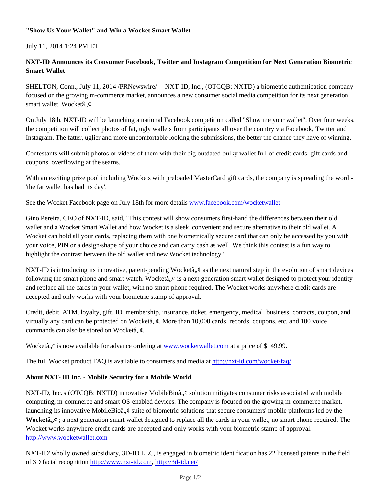## **"Show Us Your Wallet" and Win a Wocket Smart Wallet**

July 11, 2014 1:24 PM ET

# **NXT-ID Announces its Consumer Facebook, Twitter and Instagram Competition for Next Generation Biometric Smart Wallet**

SHELTON, Conn., July 11, 2014 /PRNewswire/ -- NXT-ID, Inc., (OTCQB: NXTD) a biometric authentication company focused on the growing m-commerce market, announces a new consumer social media competition for its next generation smart wallet, Wocketâ,, $\phi$ .

On July 18th, NXT-ID will be launching a national Facebook competition called "Show me your wallet". Over four weeks, the competition will collect photos of fat, ugly wallets from participants all over the country via Facebook, Twitter and Instagram. The fatter, uglier and more uncomfortable looking the submissions, the better the chance they have of winning.

Contestants will submit photos or videos of them with their big outdated bulky wallet full of credit cards, gift cards and coupons, overflowing at the seams.

With an exciting prize pool including Wockets with preloaded MasterCard gift cards, the company is spreading the word -'the fat wallet has had its day'.

See the Wocket Facebook page on July 18th for more details www.facebook.com/wocketwallet

Gino Pereira, CEO of NXT-ID, said, "This contest will show consumers first-hand the differences between their old wallet and a Wocket Smart Wallet and how Wocket is a sleek, convenient and secure alternative to their old wallet. A Wocket can hold all your cards, replacing them with one biometrically secure card that can only be accessed by you with your voice, PIN or a design/shape of your choice and can carry cash as well. We think this contest is a fun way to highlight the contrast between the old wallet and new Wocket technology."

NXT-ID is introducing its innovative, patent-pending Wocketâ,  $\phi$  as the next natural step in the evolution of smart devices following the smart phone and smart watch. Wocketâ,  $\phi$  is a next generation smart wallet designed to protect your identity and replace all the cards in your wallet, with no smart phone required. The Wocket works anywhere credit cards are accepted and only works with your biometric stamp of approval.

Credit, debit, ATM, loyalty, gift, ID, membership, insurance, ticket, emergency, medical, business, contacts, coupon, and virtually any card can be protected on Wocketâ,, $\phi$ . More than 10,000 cards, records, coupons, etc. and 100 voice commands can also be stored on Wocketâ,  $\phi$ .

Wocketâ,  $\phi$  is now available for advance ordering at www.wocketwallet.com at a price of \$149.99.

The full Wocket product FAQ is available to consumers and media at http://nxt-id.com/wocket-faq/

## **About NXT- ID Inc. - Mobile Security for a Mobile World**

NXT-ID, Inc.'s (OTCQB: NXTD) innovative MobileBioâ, ¢ solution mitigates consumer risks associated with mobile computing, m-commerce and smart OS-enabled devices. The company is focused on the growing m-commerce market, launching its innovative MobileBioâ,  $\phi$  suite of biometric solutions that secure consumers' mobile platforms led by the **Wocketâ**,  $\ell$ ; a next generation smart wallet designed to replace all the cards in your wallet, no smart phone required. The Wocket works anywhere credit cards are accepted and only works with your biometric stamp of approval. http://www.wocketwallet.com

NXT-ID' wholly owned subsidiary, 3D-ID LLC, is engaged in biometric identification has 22 licensed patents in the field of 3D facial recognition http://www.nxt-id.com, http://3d-id.net/